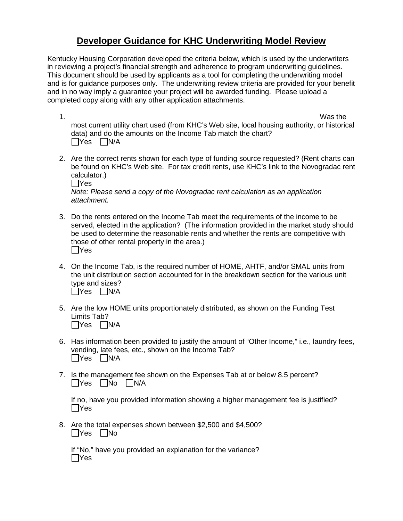## **Developer Guidance for KHC Underwriting Model Review**

Kentucky Housing Corporation developed the criteria below, which is used by the underwriters in reviewing a project's financial strength and adherence to program underwriting guidelines. This document should be used by applicants as a tool for completing the underwriting model and is for guidance purposes only. The underwriting review criteria are provided for your benefit and in no way imply a guarantee your project will be awarded funding. Please upload a completed copy along with any other application attachments.

1. Was the most current utility chart used (from KHC's Web site, local housing authority, or historical data) and do the amounts on the Income Tab match the chart?  $\Box$ Yes  $\Box$ N/A

- 2. Are the correct rents shown for each type of funding source requested? (Rent charts can be found on KHC's Web site. For tax credit rents, use KHC's link to the Novogradac rent calculator.)
	- $\Box$ Yes

*Note: Please send a copy of the Novogradac rent calculation as an application attachment.*

- 3. Do the rents entered on the Income Tab meet the requirements of the income to be served, elected in the application? (The information provided in the market study should be used to determine the reasonable rents and whether the rents are competitive with those of other rental property in the area.)  $\Box$ Yes
- 4. On the Income Tab, is the required number of HOME, AHTF, and/or SMAL units from the unit distribution section accounted for in the breakdown section for the various unit type and sizes?  $\Box$ Yes  $\Box$ N/A
- 5. Are the low HOME units proportionately distributed, as shown on the Funding Test Limits Tab?  $\Box$ Yes  $\Box$ N/A
- 6. Has information been provided to justify the amount of "Other Income," i.e., laundry fees, vending, late fees, etc., shown on the Income Tab?  $\Box$ Yes  $\Box$ N/A
- 7. Is the management fee shown on the Expenses Tab at or below 8.5 percent?  $\Box$ Yes  $\Box$ No  $\Box$ N/A

If no, have you provided information showing a higher management fee is justified?  $\Box$ Yes

8. Are the total expenses shown between \$2,500 and \$4,500?  $\Box$ Yes  $\Box$ No

If "No," have you provided an explanation for the variance?  $\Box$ Yes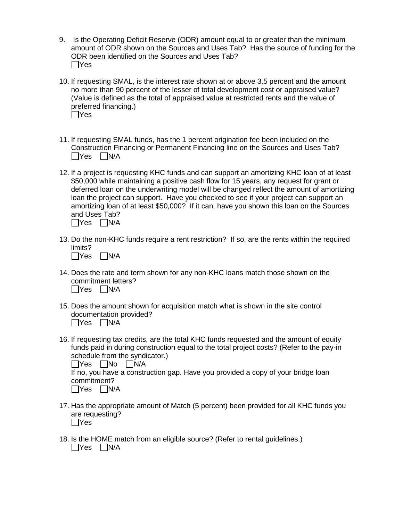- 9. Is the Operating Deficit Reserve (ODR) amount equal to or greater than the minimum amount of ODR shown on the Sources and Uses Tab? Has the source of funding for the ODR been identified on the Sources and Uses Tab?  $\Box$ Yes
- 10. If requesting SMAL, is the interest rate shown at or above 3.5 percent and the amount no more than 90 percent of the lesser of total development cost or appraised value? (Value is defined as the total of appraised value at restricted rents and the value of preferred financing.)  $\Box$ Yes
- 11. If requesting SMAL funds, has the 1 percent origination fee been included on the Construction Financing or Permanent Financing line on the Sources and Uses Tab?  $\Box$ Yes  $\Box$ N/A
- 12. If a project is requesting KHC funds and can support an amortizing KHC loan of at least \$50,000 while maintaining a positive cash flow for 15 years, any request for grant or deferred loan on the underwriting model will be changed reflect the amount of amortizing loan the project can support. Have you checked to see if your project can support an amortizing loan of at least \$50,000? If it can, have you shown this loan on the Sources and Uses Tab?

 $\Box$ Yes  $\Box$ N/A

- 13. Do the non-KHC funds require a rent restriction? If so, are the rents within the required limits?  $\Box$ Yes  $\Box$ N/A
- 14. Does the rate and term shown for any non-KHC loans match those shown on the commitment letters?  $\Box$ Yes  $\Box$ N/A
- 15. Does the amount shown for acquisition match what is shown in the site control documentation provided?  $\Box$ Yes  $\Box$ N/A
- 16. If requesting tax credits, are the total KHC funds requested and the amount of equity funds paid in during construction equal to the total project costs? (Refer to the pay-in schedule from the syndicator.)

 $\Box$ Yes  $\Box$ No  $\Box$ N/A If no, you have a construction gap. Have you provided a copy of your bridge loan commitment?  $\Box$ Yes  $\Box$ N/A

- 17. Has the appropriate amount of Match (5 percent) been provided for all KHC funds you are requesting?  $\Box$ Yes
- 18. Is the HOME match from an eligible source? (Refer to rental guidelines.)  $\Box$ Yes  $\Box$ N/A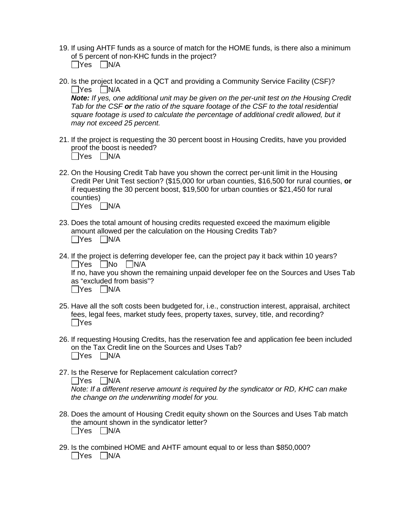19. If using AHTF funds as a source of match for the HOME funds, is there also a minimum of 5 percent of non-KHC funds in the project?

| Yes | ÌN/A |
|-----|------|
|-----|------|

20. Is the project located in a QCT and providing a Community Service Facility (CSF)?  $\Box$ Yes  $\Box$ N/A

*Note: If yes, one additional unit may be given on the per-unit test on the Housing Credit Tab for the CSF or the ratio of the square footage of the CSF to the total residential square footage is used to calculate the percentage of additional credit allowed, but it may not exceed 25 percent.*

21. If the project is requesting the 30 percent boost in Housing Credits, have you provided proof the boost is needed?

| <b>IYes</b> | N/A |
|-------------|-----|
|             |     |

- 22. On the Housing Credit Tab have you shown the correct per-unit limit in the Housing Credit Per Unit Test section? (\$15,000 for urban counties, \$16,500 for rural counties, **or** if requesting the 30 percent boost, \$19,500 for urban counties or \$21,450 for rural counties)  $\Box$ Yes  $\Box$ N/A
- 23. Does the total amount of housing credits requested exceed the maximum eligible amount allowed per the calculation on the Housing Credits Tab?  $\Box$ Yes  $\Box$ N/A
- 24. If the project is deferring developer fee, can the project pay it back within 10 years?  $\Box$ Yes  $\Box$ No  $\Box$ N/A If no, have you shown the remaining unpaid developer fee on the Sources and Uses Tab as "excluded from basis"?  $\Box$ Yes  $\Box$ N/A
- 25. Have all the soft costs been budgeted for, i.e., construction interest, appraisal, architect fees, legal fees, market study fees, property taxes, survey, title, and recording?  $\Box$ Yes
- 26. If requesting Housing Credits, has the reservation fee and application fee been included on the Tax Credit line on the Sources and Uses Tab?  $\Box$ Yes  $\Box$ N/A
- 27. Is the Reserve for Replacement calculation correct?  $\Box$ Yes  $\Box$ N/A

*Note: If a different reserve amount is required by the syndicator or RD, KHC can make the change on the underwriting model for you.*

- 28. Does the amount of Housing Credit equity shown on the Sources and Uses Tab match the amount shown in the syndicator letter?  $\Box$ Yes  $\Box$ N/A
- 29. Is the combined HOME and AHTF amount equal to or less than \$850,000?  $\Box$ Yes  $\Box$ N/A